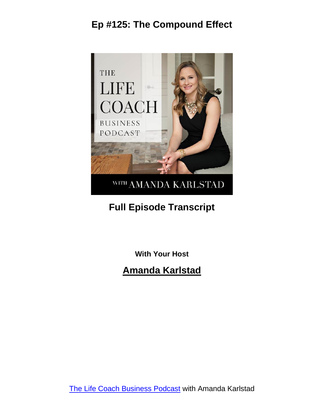

## **Full Episode Transcript**

**With Your Host**

#### **Amanda Karlstad**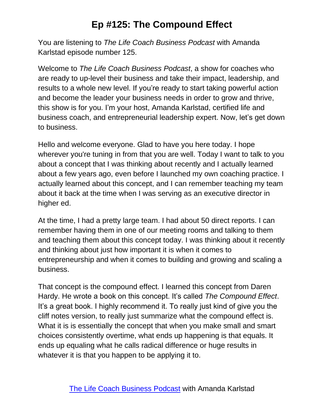You are listening to *The Life Coach Business Podcast* with Amanda Karlstad episode number 125.

Welcome to *The Life Coach Business Podcast*, a show for coaches who are ready to up-level their business and take their impact, leadership, and results to a whole new level. If you're ready to start taking powerful action and become the leader your business needs in order to grow and thrive, this show is for you. I'm your host, Amanda Karlstad, certified life and business coach, and entrepreneurial leadership expert. Now, let's get down to business.

Hello and welcome everyone. Glad to have you here today. I hope wherever you're tuning in from that you are well. Today I want to talk to you about a concept that I was thinking about recently and I actually learned about a few years ago, even before I launched my own coaching practice. I actually learned about this concept, and I can remember teaching my team about it back at the time when I was serving as an executive director in higher ed.

At the time, I had a pretty large team. I had about 50 direct reports. I can remember having them in one of our meeting rooms and talking to them and teaching them about this concept today. I was thinking about it recently and thinking about just how important it is when it comes to entrepreneurship and when it comes to building and growing and scaling a business.

That concept is the compound effect. I learned this concept from Daren Hardy. He wrote a book on this concept. It's called *The Compound Effect*. It's a great book. I highly recommend it. To really just kind of give you the cliff notes version, to really just summarize what the compound effect is. What it is is essentially the concept that when you make small and smart choices consistently overtime, what ends up happening is that equals. It ends up equaling what he calls radical difference or huge results in whatever it is that you happen to be applying it to.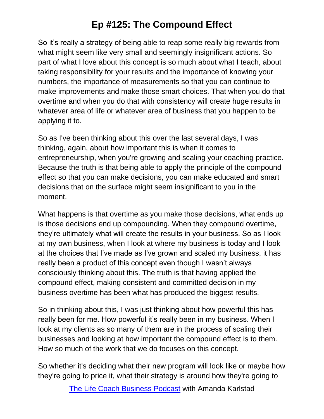So it's really a strategy of being able to reap some really big rewards from what might seem like very small and seemingly insignificant actions. So part of what I love about this concept is so much about what I teach, about taking responsibility for your results and the importance of knowing your numbers, the importance of measurements so that you can continue to make improvements and make those smart choices. That when you do that overtime and when you do that with consistency will create huge results in whatever area of life or whatever area of business that you happen to be applying it to.

So as I've been thinking about this over the last several days, I was thinking, again, about how important this is when it comes to entrepreneurship, when you're growing and scaling your coaching practice. Because the truth is that being able to apply the principle of the compound effect so that you can make decisions, you can make educated and smart decisions that on the surface might seem insignificant to you in the moment.

What happens is that overtime as you make those decisions, what ends up is those decisions end up compounding. When they compound overtime, they're ultimately what will create the results in your business. So as I look at my own business, when I look at where my business is today and I look at the choices that I've made as I've grown and scaled my business, it has really been a product of this concept even though I wasn't always consciously thinking about this. The truth is that having applied the compound effect, making consistent and committed decision in my business overtime has been what has produced the biggest results.

So in thinking about this, I was just thinking about how powerful this has really been for me. How powerful it's really been in my business. When I look at my clients as so many of them are in the process of scaling their businesses and looking at how important the compound effect is to them. How so much of the work that we do focuses on this concept.

So whether it's deciding what their new program will look like or maybe how they're going to price it, what their strategy is around how they're going to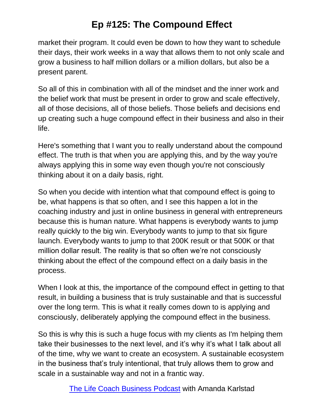market their program. It could even be down to how they want to schedule their days, their work weeks in a way that allows them to not only scale and grow a business to half million dollars or a million dollars, but also be a present parent.

So all of this in combination with all of the mindset and the inner work and the belief work that must be present in order to grow and scale effectively, all of those decisions, all of those beliefs. Those beliefs and decisions end up creating such a huge compound effect in their business and also in their life.

Here's something that I want you to really understand about the compound effect. The truth is that when you are applying this, and by the way you're always applying this in some way even though you're not consciously thinking about it on a daily basis, right.

So when you decide with intention what that compound effect is going to be, what happens is that so often, and I see this happen a lot in the coaching industry and just in online business in general with entrepreneurs because this is human nature. What happens is everybody wants to jump really quickly to the big win. Everybody wants to jump to that six figure launch. Everybody wants to jump to that 200K result or that 500K or that million dollar result. The reality is that so often we're not consciously thinking about the effect of the compound effect on a daily basis in the process.

When I look at this, the importance of the compound effect in getting to that result, in building a business that is truly sustainable and that is successful over the long term. This is what it really comes down to is applying and consciously, deliberately applying the compound effect in the business.

So this is why this is such a huge focus with my clients as I'm helping them take their businesses to the next level, and it's why it's what I talk about all of the time, why we want to create an ecosystem. A sustainable ecosystem in the business that's truly intentional, that truly allows them to grow and scale in a sustainable way and not in a frantic way.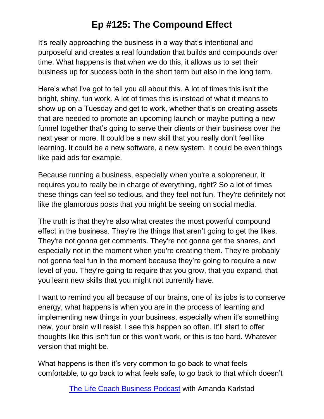It's really approaching the business in a way that's intentional and purposeful and creates a real foundation that builds and compounds over time. What happens is that when we do this, it allows us to set their business up for success both in the short term but also in the long term.

Here's what I've got to tell you all about this. A lot of times this isn't the bright, shiny, fun work. A lot of times this is instead of what it means to show up on a Tuesday and get to work, whether that's on creating assets that are needed to promote an upcoming launch or maybe putting a new funnel together that's going to serve their clients or their business over the next year or more. It could be a new skill that you really don't feel like learning. It could be a new software, a new system. It could be even things like paid ads for example.

Because running a business, especially when you're a solopreneur, it requires you to really be in charge of everything, right? So a lot of times these things can feel so tedious, and they feel not fun. They're definitely not like the glamorous posts that you might be seeing on social media.

The truth is that they're also what creates the most powerful compound effect in the business. They're the things that aren't going to get the likes. They're not gonna get comments. They're not gonna get the shares, and especially not in the moment when you're creating them. They're probably not gonna feel fun in the moment because they're going to require a new level of you. They're going to require that you grow, that you expand, that you learn new skills that you might not currently have.

I want to remind you all because of our brains, one of its jobs is to conserve energy, what happens is when you are in the process of learning and implementing new things in your business, especially when it's something new, your brain will resist. I see this happen so often. It'll start to offer thoughts like this isn't fun or this won't work, or this is too hard. Whatever version that might be.

What happens is then it's very common to go back to what feels comfortable, to go back to what feels safe, to go back to that which doesn't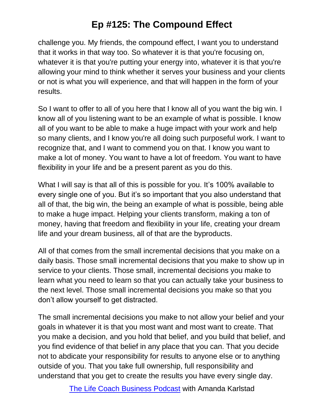challenge you. My friends, the compound effect, I want you to understand that it works in that way too. So whatever it is that you're focusing on, whatever it is that you're putting your energy into, whatever it is that you're allowing your mind to think whether it serves your business and your clients or not is what you will experience, and that will happen in the form of your results.

So I want to offer to all of you here that I know all of you want the big win. I know all of you listening want to be an example of what is possible. I know all of you want to be able to make a huge impact with your work and help so many clients, and I know you're all doing such purposeful work. I want to recognize that, and I want to commend you on that. I know you want to make a lot of money. You want to have a lot of freedom. You want to have flexibility in your life and be a present parent as you do this.

What I will say is that all of this is possible for you. It's 100% available to every single one of you. But it's so important that you also understand that all of that, the big win, the being an example of what is possible, being able to make a huge impact. Helping your clients transform, making a ton of money, having that freedom and flexibility in your life, creating your dream life and your dream business, all of that are the byproducts.

All of that comes from the small incremental decisions that you make on a daily basis. Those small incremental decisions that you make to show up in service to your clients. Those small, incremental decisions you make to learn what you need to learn so that you can actually take your business to the next level. Those small incremental decisions you make so that you don't allow yourself to get distracted.

The small incremental decisions you make to not allow your belief and your goals in whatever it is that you most want and most want to create. That you make a decision, and you hold that belief, and you build that belief, and you find evidence of that belief in any place that you can. That you decide not to abdicate your responsibility for results to anyone else or to anything outside of you. That you take full ownership, full responsibility and understand that you get to create the results you have every single day.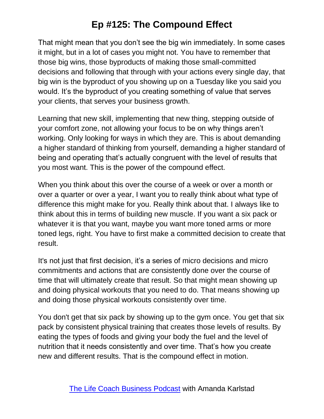That might mean that you don't see the big win immediately. In some cases it might, but in a lot of cases you might not. You have to remember that those big wins, those byproducts of making those small-committed decisions and following that through with your actions every single day, that big win is the byproduct of you showing up on a Tuesday like you said you would. It's the byproduct of you creating something of value that serves your clients, that serves your business growth.

Learning that new skill, implementing that new thing, stepping outside of your comfort zone, not allowing your focus to be on why things aren't working. Only looking for ways in which they are. This is about demanding a higher standard of thinking from yourself, demanding a higher standard of being and operating that's actually congruent with the level of results that you most want. This is the power of the compound effect.

When you think about this over the course of a week or over a month or over a quarter or over a year, I want you to really think about what type of difference this might make for you. Really think about that. I always like to think about this in terms of building new muscle. If you want a six pack or whatever it is that you want, maybe you want more toned arms or more toned legs, right. You have to first make a committed decision to create that result.

It's not just that first decision, it's a series of micro decisions and micro commitments and actions that are consistently done over the course of time that will ultimately create that result. So that might mean showing up and doing physical workouts that you need to do. That means showing up and doing those physical workouts consistently over time.

You don't get that six pack by showing up to the gym once. You get that six pack by consistent physical training that creates those levels of results. By eating the types of foods and giving your body the fuel and the level of nutrition that it needs consistently and over time. That's how you create new and different results. That is the compound effect in motion.